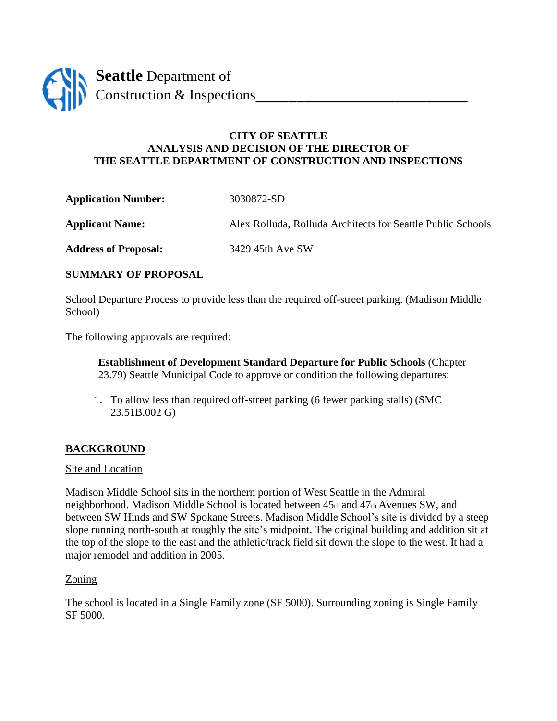

# **CITY OF SEATTLE ANALYSIS AND DECISION OF THE DIRECTOR OF THE SEATTLE DEPARTMENT OF CONSTRUCTION AND INSPECTIONS**

**Application Number:** 3030872-SD

**Applicant Name:** Alex Rolluda, Rolluda Architects for Seattle Public Schools

**Address of Proposal:** 3429 45th Ave SW

# **SUMMARY OF PROPOSAL**

School Departure Process to provide less than the required off-street parking. (Madison Middle School)

The following approvals are required:

**Establishment of Development Standard Departure for Public Schools** (Chapter 23.79) Seattle Municipal Code to approve or condition the following departures:

1. To allow less than required off-street parking (6 fewer parking stalls) (SMC 23.51B.002 G)

# **BACKGROUND**

## Site and Location

Madison Middle School sits in the northern portion of West Seattle in the Admiral neighborhood. Madison Middle School is located between 45th and 47th Avenues SW, and between SW Hinds and SW Spokane Streets. Madison Middle School's site is divided by a steep slope running north-south at roughly the site's midpoint. The original building and addition sit at the top of the slope to the east and the athletic/track field sit down the slope to the west. It had a major remodel and addition in 2005.

## Zoning

The school is located in a Single Family zone (SF 5000). Surrounding zoning is Single Family SF 5000.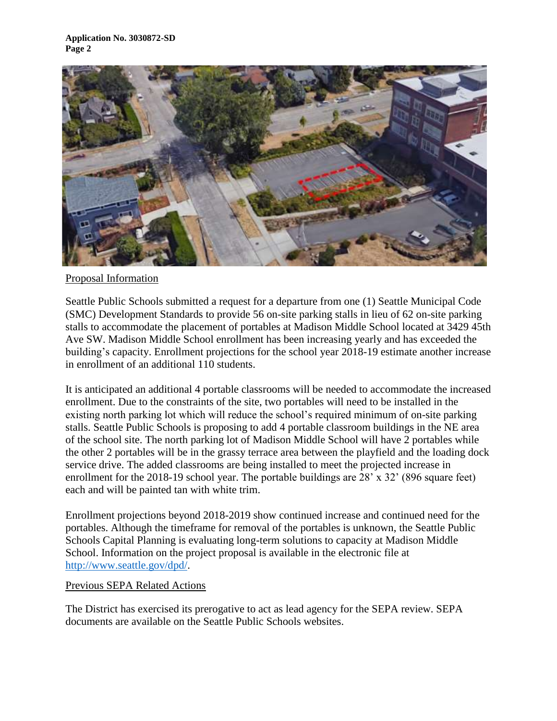

## Proposal Information

Seattle Public Schools submitted a request for a departure from one (1) Seattle Municipal Code (SMC) Development Standards to provide 56 on-site parking stalls in lieu of 62 on-site parking stalls to accommodate the placement of portables at Madison Middle School located at 3429 45th Ave SW. Madison Middle School enrollment has been increasing yearly and has exceeded the building's capacity. Enrollment projections for the school year 2018-19 estimate another increase in enrollment of an additional 110 students.

It is anticipated an additional 4 portable classrooms will be needed to accommodate the increased enrollment. Due to the constraints of the site, two portables will need to be installed in the existing north parking lot which will reduce the school's required minimum of on-site parking stalls. Seattle Public Schools is proposing to add 4 portable classroom buildings in the NE area of the school site. The north parking lot of Madison Middle School will have 2 portables while the other 2 portables will be in the grassy terrace area between the playfield and the loading dock service drive. The added classrooms are being installed to meet the projected increase in enrollment for the 2018-19 school year. The portable buildings are 28' x 32' (896 square feet) each and will be painted tan with white trim.

Enrollment projections beyond 2018-2019 show continued increase and continued need for the portables. Although the timeframe for removal of the portables is unknown, the Seattle Public Schools Capital Planning is evaluating long-term solutions to capacity at Madison Middle School. Information on the project proposal is available in the electronic file at [http://www.seattle.gov/dpd/.](http://www.seattle.gov/dpd/)

## Previous SEPA Related Actions

The District has exercised its prerogative to act as lead agency for the SEPA review. SEPA documents are available on the Seattle Public Schools websites.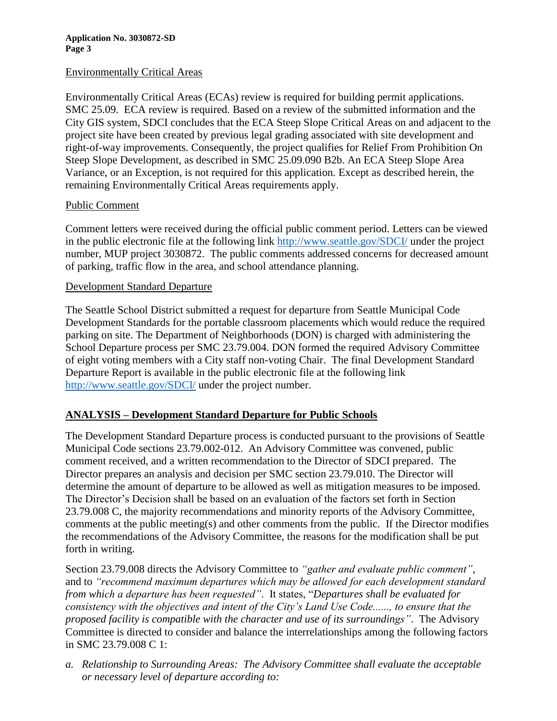**Application No. 3030872-SD Page 3**

#### Environmentally Critical Areas

Environmentally Critical Areas (ECAs) review is required for building permit applications. SMC 25.09. ECA review is required. Based on a review of the submitted information and the City GIS system, SDCI concludes that the ECA Steep Slope Critical Areas on and adjacent to the project site have been created by previous legal grading associated with site development and right-of-way improvements. Consequently, the project qualifies for Relief From Prohibition On Steep Slope Development, as described in SMC 25.09.090 B2b. An ECA Steep Slope Area Variance, or an Exception, is not required for this application. Except as described herein, the remaining Environmentally Critical Areas requirements apply.

## Public Comment

Comment letters were received during the official public comment period. Letters can be viewed in the public electronic file at the following link [http://www.seattle.gov/SDCI/](http://www.seattle.gov/dpd/) under the project number, MUP project 3030872. The public comments addressed concerns for decreased amount of parking, traffic flow in the area, and school attendance planning.

#### Development Standard Departure

The Seattle School District submitted a request for departure from Seattle Municipal Code Development Standards for the portable classroom placements which would reduce the required parking on site. The Department of Neighborhoods (DON) is charged with administering the School Departure process per SMC 23.79.004. DON formed the required Advisory Committee of eight voting members with a City staff non-voting Chair. The final Development Standard Departure Report is available in the public electronic file at the following link [http://www.seattle.gov/SDCI/](http://www.seattle.gov/dpd/) under the project number.

## **ANALYSIS – Development Standard Departure for Public Schools**

The Development Standard Departure process is conducted pursuant to the provisions of Seattle Municipal Code sections 23.79.002-012. An Advisory Committee was convened, public comment received, and a written recommendation to the Director of SDCI prepared. The Director prepares an analysis and decision per SMC section 23.79.010. The Director will determine the amount of departure to be allowed as well as mitigation measures to be imposed. The Director's Decision shall be based on an evaluation of the factors set forth in Section 23.79.008 C, the majority recommendations and minority reports of the Advisory Committee, comments at the public meeting(s) and other comments from the public. If the Director modifies the recommendations of the Advisory Committee, the reasons for the modification shall be put forth in writing.

Section 23.79.008 directs the Advisory Committee to *"gather and evaluate public comment"*, and to *"recommend maximum departures which may be allowed for each development standard from which a departure has been requested"*. It states, "*Departures shall be evaluated for consistency with the objectives and intent of the City's Land Use Code......, to ensure that the proposed facility is compatible with the character and use of its surroundings"*. The Advisory Committee is directed to consider and balance the interrelationships among the following factors in SMC 23.79.008 C 1:

*a. Relationship to Surrounding Areas: The Advisory Committee shall evaluate the acceptable or necessary level of departure according to:*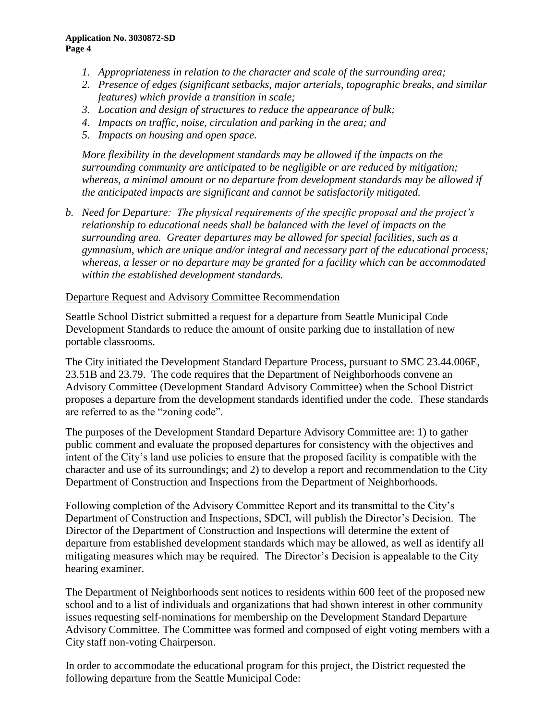- *1. Appropriateness in relation to the character and scale of the surrounding area;*
- *2. Presence of edges (significant setbacks, major arterials, topographic breaks, and similar features) which provide a transition in scale;*
- *3. Location and design of structures to reduce the appearance of bulk;*
- *4. Impacts on traffic, noise, circulation and parking in the area; and*
- *5. Impacts on housing and open space.*

*More flexibility in the development standards may be allowed if the impacts on the surrounding community are anticipated to be negligible or are reduced by mitigation; whereas, a minimal amount or no departure from development standards may be allowed if the anticipated impacts are significant and cannot be satisfactorily mitigated.*

*b. Need for Departure: The physical requirements of the specific proposal and the project's relationship to educational needs shall be balanced with the level of impacts on the surrounding area. Greater departures may be allowed for special facilities, such as a gymnasium, which are unique and/or integral and necessary part of the educational process; whereas, a lesser or no departure may be granted for a facility which can be accommodated within the established development standards.*

# Departure Request and Advisory Committee Recommendation

Seattle School District submitted a request for a departure from Seattle Municipal Code Development Standards to reduce the amount of onsite parking due to installation of new portable classrooms.

The City initiated the Development Standard Departure Process, pursuant to SMC 23.44.006E, 23.51B and 23.79. The code requires that the Department of Neighborhoods convene an Advisory Committee (Development Standard Advisory Committee) when the School District proposes a departure from the development standards identified under the code. These standards are referred to as the "zoning code".

The purposes of the Development Standard Departure Advisory Committee are: 1) to gather public comment and evaluate the proposed departures for consistency with the objectives and intent of the City's land use policies to ensure that the proposed facility is compatible with the character and use of its surroundings; and 2) to develop a report and recommendation to the City Department of Construction and Inspections from the Department of Neighborhoods.

Following completion of the Advisory Committee Report and its transmittal to the City's Department of Construction and Inspections, SDCI, will publish the Director's Decision. The Director of the Department of Construction and Inspections will determine the extent of departure from established development standards which may be allowed, as well as identify all mitigating measures which may be required. The Director's Decision is appealable to the City hearing examiner.

The Department of Neighborhoods sent notices to residents within 600 feet of the proposed new school and to a list of individuals and organizations that had shown interest in other community issues requesting self-nominations for membership on the Development Standard Departure Advisory Committee. The Committee was formed and composed of eight voting members with a City staff non-voting Chairperson.

In order to accommodate the educational program for this project, the District requested the following departure from the Seattle Municipal Code: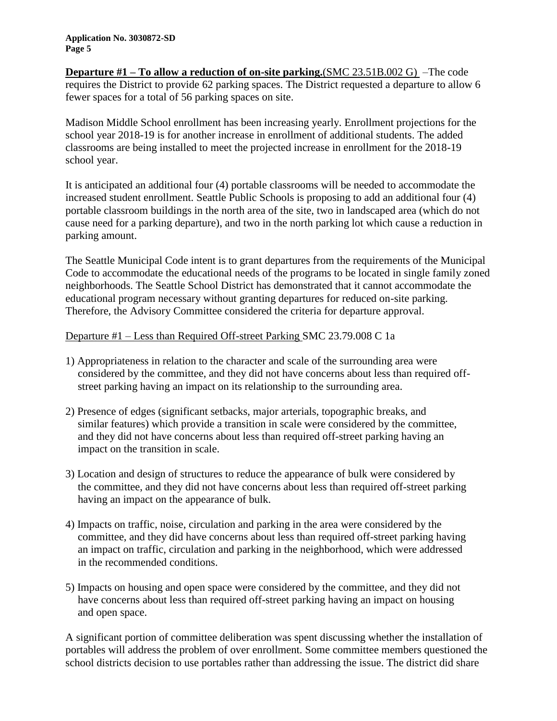**Departure #1 – To allow a reduction of on-site parking.**(SMC 23.51B.002 G) –The code requires the District to provide 62 parking spaces. The District requested a departure to allow 6 fewer spaces for a total of 56 parking spaces on site.

Madison Middle School enrollment has been increasing yearly. Enrollment projections for the school year 2018-19 is for another increase in enrollment of additional students. The added classrooms are being installed to meet the projected increase in enrollment for the 2018-19 school year.

It is anticipated an additional four (4) portable classrooms will be needed to accommodate the increased student enrollment. Seattle Public Schools is proposing to add an additional four (4) portable classroom buildings in the north area of the site, two in landscaped area (which do not cause need for a parking departure), and two in the north parking lot which cause a reduction in parking amount.

The Seattle Municipal Code intent is to grant departures from the requirements of the Municipal Code to accommodate the educational needs of the programs to be located in single family zoned neighborhoods. The Seattle School District has demonstrated that it cannot accommodate the educational program necessary without granting departures for reduced on-site parking. Therefore, the Advisory Committee considered the criteria for departure approval.

# Departure #1 – Less than Required Off-street Parking SMC 23.79.008 C 1a

- 1) Appropriateness in relation to the character and scale of the surrounding area were considered by the committee, and they did not have concerns about less than required offstreet parking having an impact on its relationship to the surrounding area.
- 2) Presence of edges (significant setbacks, major arterials, topographic breaks, and similar features) which provide a transition in scale were considered by the committee, and they did not have concerns about less than required off-street parking having an impact on the transition in scale.
- 3) Location and design of structures to reduce the appearance of bulk were considered by the committee, and they did not have concerns about less than required off-street parking having an impact on the appearance of bulk.
- 4) Impacts on traffic, noise, circulation and parking in the area were considered by the committee, and they did have concerns about less than required off-street parking having an impact on traffic, circulation and parking in the neighborhood, which were addressed in the recommended conditions.
- 5) Impacts on housing and open space were considered by the committee, and they did not have concerns about less than required off-street parking having an impact on housing and open space.

A significant portion of committee deliberation was spent discussing whether the installation of portables will address the problem of over enrollment. Some committee members questioned the school districts decision to use portables rather than addressing the issue. The district did share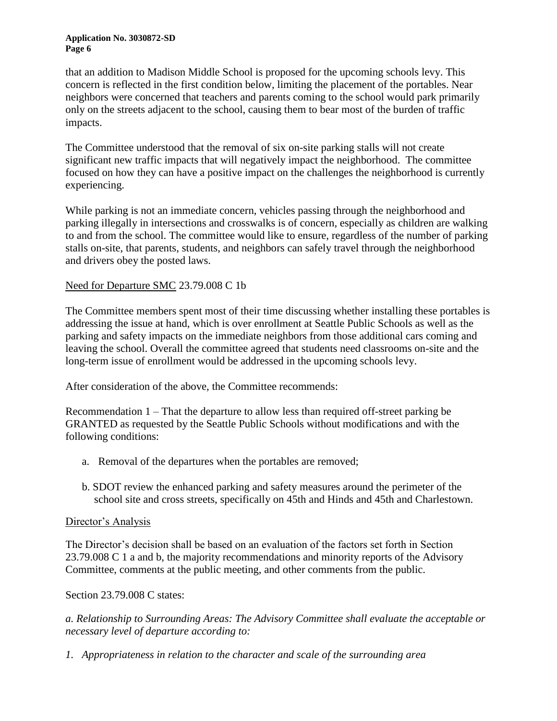#### **Application No. 3030872-SD Page 6**

that an addition to Madison Middle School is proposed for the upcoming schools levy. This concern is reflected in the first condition below, limiting the placement of the portables. Near neighbors were concerned that teachers and parents coming to the school would park primarily only on the streets adjacent to the school, causing them to bear most of the burden of traffic impacts.

The Committee understood that the removal of six on-site parking stalls will not create significant new traffic impacts that will negatively impact the neighborhood. The committee focused on how they can have a positive impact on the challenges the neighborhood is currently experiencing.

While parking is not an immediate concern, vehicles passing through the neighborhood and parking illegally in intersections and crosswalks is of concern, especially as children are walking to and from the school. The committee would like to ensure, regardless of the number of parking stalls on-site, that parents, students, and neighbors can safely travel through the neighborhood and drivers obey the posted laws.

# Need for Departure SMC 23.79.008 C 1b

The Committee members spent most of their time discussing whether installing these portables is addressing the issue at hand, which is over enrollment at Seattle Public Schools as well as the parking and safety impacts on the immediate neighbors from those additional cars coming and leaving the school. Overall the committee agreed that students need classrooms on-site and the long-term issue of enrollment would be addressed in the upcoming schools levy.

After consideration of the above, the Committee recommends:

Recommendation 1 – That the departure to allow less than required off-street parking be GRANTED as requested by the Seattle Public Schools without modifications and with the following conditions:

- a. Removal of the departures when the portables are removed;
- b. SDOT review the enhanced parking and safety measures around the perimeter of the school site and cross streets, specifically on 45th and Hinds and 45th and Charlestown.

## Director's Analysis

The Director's decision shall be based on an evaluation of the factors set forth in Section 23.79.008 C 1 a and b, the majority recommendations and minority reports of the Advisory Committee, comments at the public meeting, and other comments from the public.

Section 23.79.008 C states:

*a. Relationship to Surrounding Areas: The Advisory Committee shall evaluate the acceptable or necessary level of departure according to:*

*1. Appropriateness in relation to the character and scale of the surrounding area*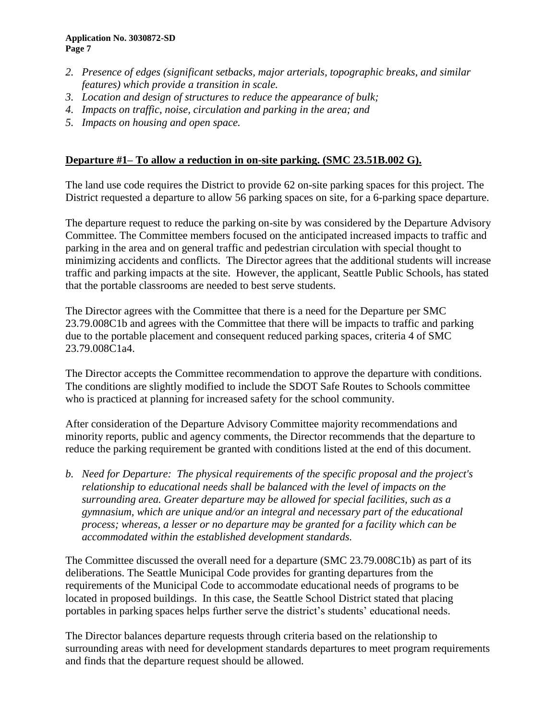- *2. Presence of edges (significant setbacks, major arterials, topographic breaks, and similar features) which provide a transition in scale.*
- *3. Location and design of structures to reduce the appearance of bulk;*
- *4. Impacts on traffic, noise, circulation and parking in the area; and*
- *5. Impacts on housing and open space.*

# **Departure #1– To allow a reduction in on-site parking. (SMC 23.51B.002 G).**

The land use code requires the District to provide 62 on-site parking spaces for this project. The District requested a departure to allow 56 parking spaces on site, for a 6-parking space departure.

The departure request to reduce the parking on-site by was considered by the Departure Advisory Committee. The Committee members focused on the anticipated increased impacts to traffic and parking in the area and on general traffic and pedestrian circulation with special thought to minimizing accidents and conflicts. The Director agrees that the additional students will increase traffic and parking impacts at the site. However, the applicant, Seattle Public Schools, has stated that the portable classrooms are needed to best serve students.

The Director agrees with the Committee that there is a need for the Departure per SMC 23.79.008C1b and agrees with the Committee that there will be impacts to traffic and parking due to the portable placement and consequent reduced parking spaces, criteria 4 of SMC 23.79.008C1a4.

The Director accepts the Committee recommendation to approve the departure with conditions. The conditions are slightly modified to include the SDOT Safe Routes to Schools committee who is practiced at planning for increased safety for the school community.

After consideration of the Departure Advisory Committee majority recommendations and minority reports, public and agency comments, the Director recommends that the departure to reduce the parking requirement be granted with conditions listed at the end of this document.

*b. Need for Departure: The physical requirements of the specific proposal and the project's relationship to educational needs shall be balanced with the level of impacts on the surrounding area. Greater departure may be allowed for special facilities, such as a gymnasium, which are unique and/or an integral and necessary part of the educational process; whereas, a lesser or no departure may be granted for a facility which can be accommodated within the established development standards.*

The Committee discussed the overall need for a departure (SMC 23.79.008C1b) as part of its deliberations. The Seattle Municipal Code provides for granting departures from the requirements of the Municipal Code to accommodate educational needs of programs to be located in proposed buildings. In this case, the Seattle School District stated that placing portables in parking spaces helps further serve the district's students' educational needs.

The Director balances departure requests through criteria based on the relationship to surrounding areas with need for development standards departures to meet program requirements and finds that the departure request should be allowed.